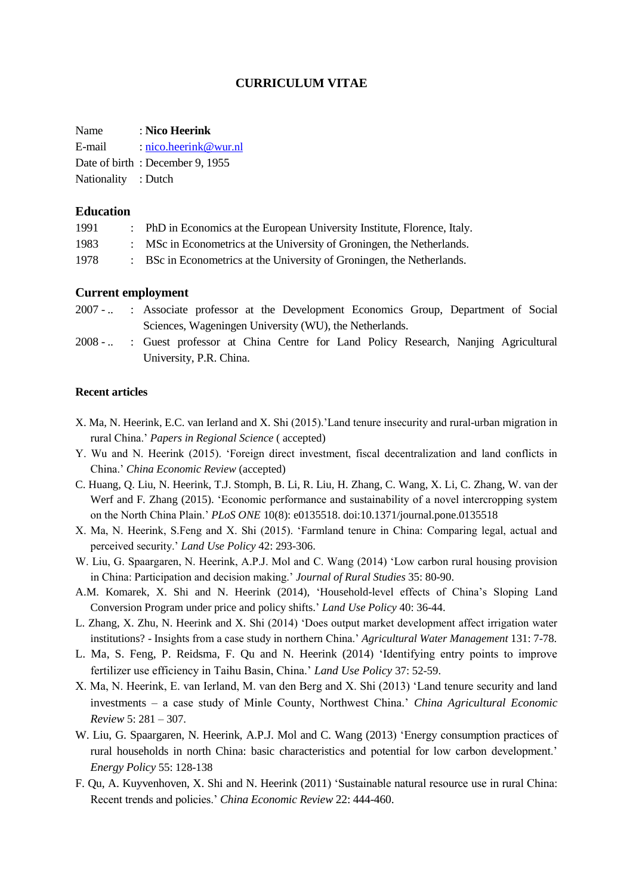# **CURRICULUM VITAE**

Name : **Nico Heerink**

| E-mail |  |  | $:$ nico.heerink@wur.nl |  |  |  |  |
|--------|--|--|-------------------------|--|--|--|--|
|        |  |  |                         |  |  |  |  |

- Date of birth : December 9, 1955
- Nationality : Dutch

## **Education**

| 1991 | PhD in Economics at the European University Institute, Florence, Italy. |
|------|-------------------------------------------------------------------------|
| 1983 | MSc in Econometrics at the University of Groningen, the Netherlands.    |
| 1978 | BSc in Econometrics at the University of Groningen, the Netherlands.    |

### **Current employment**

- 2007 .. : Associate professor at the Development Economics Group, Department of Social Sciences, Wageningen University (WU), the Netherlands.
- 2008 ... : Guest professor at China Centre for Land Policy Research, Nanjing Agricultural University, P.R. China.

### **Recent articles**

- X. Ma, N. Heerink, E.C. van Ierland and X. Shi (2015).'Land tenure insecurity and rural-urban migration in rural China.' *Papers in Regional Science* ( accepted)
- Y. Wu and N. Heerink (2015). 'Foreign direct investment, fiscal decentralization and land conflicts in China.' *China Economic Review* (accepted)
- C. Huang, Q. Liu, N. Heerink, T.J. Stomph, B. Li, R. Liu, H. Zhang, C. Wang, X. Li, C. Zhang, W. van der Werf and F. Zhang (2015). 'Economic performance and sustainability of a novel intercropping system on the North China Plain.' *PLoS ONE* 10(8): e0135518. doi:10.1371/journal.pone.0135518
- X. Ma, N. Heerink, S.Feng and X. Shi (2015). 'Farmland tenure in China: Comparing legal, actual and perceived security.' *Land Use Policy* 42: 293-306.
- W. Liu, G. Spaargaren, N. Heerink, A.P.J. Mol and C. Wang (2014) 'Low carbon rural housing provision in China: Participation and decision making.' *Journal of Rural Studies* 35: 80-90.
- A.M. Komarek, X. Shi and N. Heerink (2014), 'Household-level effects of China's Sloping Land Conversion Program under price and policy shifts.' *Land Use Policy* 40: 36-44.
- L. Zhang, X. Zhu, N. Heerink and X. Shi (2014) 'Does output market development affect irrigation water institutions? - Insights from a case study in northern China.' *Agricultural Water Management* 131: 7-78.
- L. Ma, S. Feng, P. Reidsma, F. Qu and N. Heerink (2014) 'Identifying entry points to improve fertilizer use efficiency in Taihu Basin, China.' *Land Use Policy* 37: 52-59.
- X. Ma, N. Heerink, E. van Ierland, M. van den Berg and X. Shi (2013) 'Land tenure security and land investments – a case study of Minle County, Northwest China.' *China Agricultural Economic Review* 5: 281 – 307.
- W. Liu, G. Spaargaren, N. Heerink, A.P.J. Mol and C. Wang (2013) 'Energy consumption practices of rural households in north China: basic characteristics and potential for low carbon development.' *Energy Policy* 55: 128-138
- F. Qu, A. Kuyvenhoven, X. Shi and N. Heerink (2011) 'Sustainable natural resource use in rural China: Recent trends and policies.' *China Economic Review* 22: 444-460.